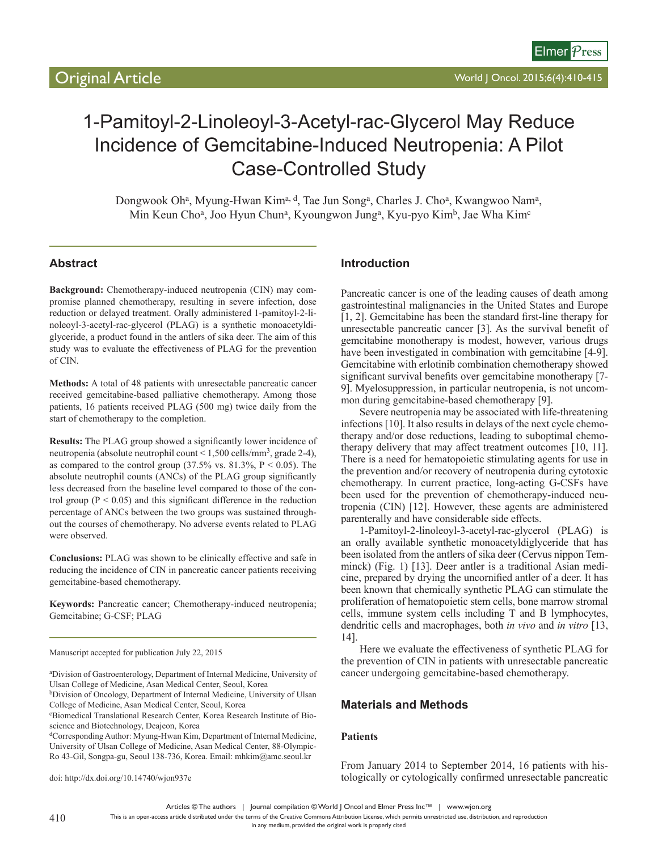# 1-Pamitoyl-2-Linoleoyl-3-Acetyl-rac-Glycerol May Reduce Incidence of Gemcitabine-Induced Neutropenia: A Pilot Case-Controlled Study

Dongwook Oh<sup>a</sup>, Myung-Hwan Kim<sup>a, d</sup>, Tae Jun Song<sup>a</sup>, Charles J. Cho<sup>a</sup>, Kwangwoo Nam<sup>a</sup>, Min Keun Cho<sup>a</sup>, Joo Hyun Chun<sup>a</sup>, Kyoungwon Jung<sup>a</sup>, Kyu-pyo Kim<sup>b</sup>, Jae Wha Kim<sup>c</sup>

# **Abstract**

**Background:** Chemotherapy-induced neutropenia (CIN) may compromise planned chemotherapy, resulting in severe infection, dose reduction or delayed treatment. Orally administered 1-pamitoyl-2-linoleoyl-3-acetyl-rac-glycerol (PLAG) is a synthetic monoacetyldiglyceride, a product found in the antlers of sika deer. The aim of this study was to evaluate the effectiveness of PLAG for the prevention of CIN.

**Methods:** A total of 48 patients with unresectable pancreatic cancer received gemcitabine-based palliative chemotherapy. Among those patients, 16 patients received PLAG (500 mg) twice daily from the start of chemotherapy to the completion.

**Results:** The PLAG group showed a significantly lower incidence of neutropenia (absolute neutrophil count < 1,500 cells/mm3, grade 2-4), as compared to the control group  $(37.5\% \text{ vs. } 81.3\%, \text{ P} < 0.05)$ . The absolute neutrophil counts (ANCs) of the PLAG group significantly less decreased from the baseline level compared to those of the control group ( $P < 0.05$ ) and this significant difference in the reduction percentage of ANCs between the two groups was sustained throughout the courses of chemotherapy. No adverse events related to PLAG were observed.

**Conclusions:** PLAG was shown to be clinically effective and safe in reducing the incidence of CIN in pancreatic cancer patients receiving gemcitabine-based chemotherapy.

**Keywords:** Pancreatic cancer; Chemotherapy-induced neutropenia; Gemcitabine; G-CSF; PLAG

Manuscript accepted for publication July 22, 2015

a Division of Gastroenterology, Department of Internal Medicine, University of Ulsan College of Medicine, Asan Medical Center, Seoul, Korea

bDivision of Oncology, Department of Internal Medicine, University of Ulsan College of Medicine, Asan Medical Center, Seoul, Korea

c Biomedical Translational Research Center, Korea Research Institute of Bioscience and Biotechnology, Deajeon, Korea

dCorresponding Author: Myung-Hwan Kim, Department of Internal Medicine, University of Ulsan College of Medicine, Asan Medical Center, 88-Olympic-Ro 43-Gil, Songpa-gu, Seoul 138-736, Korea. Email: mhkim@amc.seoul.kr

doi: http://dx.doi.org/10.14740/wjon937e

### **Introduction**

Pancreatic cancer is one of the leading causes of death among gastrointestinal malignancies in the United States and Europe [1, 2]. Gemcitabine has been the standard first-line therapy for unresectable pancreatic cancer [3]. As the survival benefit of gemcitabine monotherapy is modest, however, various drugs have been investigated in combination with gemcitabine [4-9]. Gemcitabine with erlotinib combination chemotherapy showed significant survival benefits over gemcitabine monotherapy [7-9]. Myelosuppression, in particular neutropenia, is not uncommon during gemcitabine-based chemotherapy [9].

Severe neutropenia may be associated with life-threatening infections [10]. It also results in delays of the next cycle chemotherapy and/or dose reductions, leading to suboptimal chemotherapy delivery that may affect treatment outcomes [10, 11]. There is a need for hematopoietic stimulating agents for use in the prevention and/or recovery of neutropenia during cytotoxic chemotherapy. In current practice, long-acting G-CSFs have been used for the prevention of chemotherapy-induced neutropenia (CIN) [12]. However, these agents are administered parenterally and have considerable side effects.

1-Pamitoyl-2-linoleoyl-3-acetyl-rac-glycerol (PLAG) is an orally available synthetic monoacetyldiglyceride that has been isolated from the antlers of sika deer (Cervus nippon Temminck) (Fig. 1) [13]. Deer antler is a traditional Asian medicine, prepared by drying the uncornified antler of a deer. It has been known that chemically synthetic PLAG can stimulate the proliferation of hematopoietic stem cells, bone marrow stromal cells, immune system cells including T and B lymphocytes, dendritic cells and macrophages, both *in vivo* and *in vitro* [13, 14].

Here we evaluate the effectiveness of synthetic PLAG for the prevention of CIN in patients with unresectable pancreatic cancer undergoing gemcitabine-based chemotherapy.

## **Materials and Methods**

#### **Patients**

From January 2014 to September 2014, 16 patients with histologically or cytologically confirmed unresectable pancreatic

Articles © The authors | Journal compilation © World J Oncol and Elmer Press Inc™ | www.wjon.org

This is an open-access article distributed under the terms of the Creative Commons Attribution License, which permits unrestricted use, distribution, and reproduction

in any medium, provided the original work is properly cited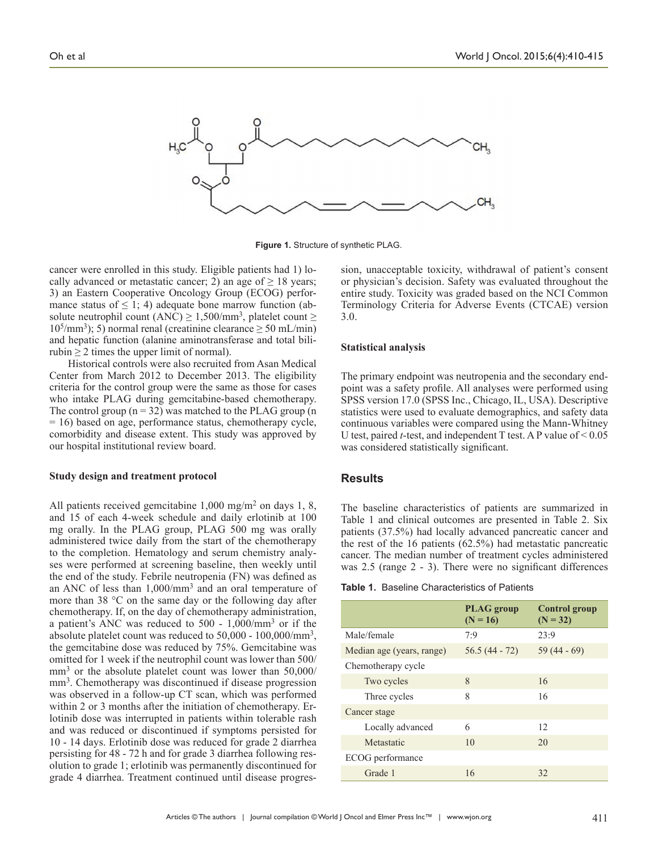

**Figure 1.** Structure of synthetic PLAG.

cancer were enrolled in this study. Eligible patients had 1) locally advanced or metastatic cancer; 2) an age of  $\geq 18$  years; 3) an Eastern Cooperative Oncology Group (ECOG) performance status of  $\leq 1$ ; 4) adequate bone marrow function (absolute neutrophil count (ANC)  $\geq$  1,500/mm<sup>3</sup>, platelet count  $\geq$  $10^{5}/\text{mm}^{3}$ ; 5) normal renal (creatinine clearance  $\geq 50$  mL/min) and hepatic function (alanine aminotransferase and total bilirubin  $\geq 2$  times the upper limit of normal).

Historical controls were also recruited from Asan Medical Center from March 2012 to December 2013. The eligibility criteria for the control group were the same as those for cases who intake PLAG during gemcitabine-based chemotherapy. The control group  $(n = 32)$  was matched to the PLAG group  $(n = 32)$ = 16) based on age, performance status, chemotherapy cycle, comorbidity and disease extent. This study was approved by our hospital institutional review board.

#### **Study design and treatment protocol**

All patients received gemcitabine 1,000 mg/m<sup>2</sup> on days 1, 8, and 15 of each 4-week schedule and daily erlotinib at 100 mg orally. In the PLAG group, PLAG 500 mg was orally administered twice daily from the start of the chemotherapy to the completion. Hematology and serum chemistry analyses were performed at screening baseline, then weekly until the end of the study. Febrile neutropenia (FN) was defined as an ANC of less than 1,000/mm3 and an oral temperature of more than 38 °C on the same day or the following day after chemotherapy. If, on the day of chemotherapy administration, a patient's ANC was reduced to 500 - 1,000/mm3 or if the absolute platelet count was reduced to 50,000 - 100,000/mm3, the gemcitabine dose was reduced by 75%. Gemcitabine was omitted for 1 week if the neutrophil count was lower than 500/  $mm<sup>3</sup>$  or the absolute platelet count was lower than 50,000/ mm<sup>3</sup>. Chemotherapy was discontinued if disease progression was observed in a follow-up CT scan, which was performed within 2 or 3 months after the initiation of chemotherapy. Erlotinib dose was interrupted in patients within tolerable rash and was reduced or discontinued if symptoms persisted for 10 - 14 days. Erlotinib dose was reduced for grade 2 diarrhea persisting for 48 - 72 h and for grade 3 diarrhea following resolution to grade 1; erlotinib was permanently discontinued for grade 4 diarrhea. Treatment continued until disease progression, unacceptable toxicity, withdrawal of patient's consent or physician's decision. Safety was evaluated throughout the entire study. Toxicity was graded based on the NCI Common Terminology Criteria for Adverse Events (CTCAE) version 3.0.

#### **Statistical analysis**

The primary endpoint was neutropenia and the secondary endpoint was a safety profile. All analyses were performed using SPSS version 17.0 (SPSS Inc., Chicago, IL, USA). Descriptive statistics were used to evaluate demographics, and safety data continuous variables were compared using the Mann-Whitney U test, paired *t*-test, and independent T test. A P value of < 0.05 was considered statistically significant.

#### **Results**

The baseline characteristics of patients are summarized in Table 1 and clinical outcomes are presented in Table 2. Six patients (37.5%) had locally advanced pancreatic cancer and the rest of the 16 patients (62.5%) had metastatic pancreatic cancer. The median number of treatment cycles administered was 2.5 (range 2 - 3). There were no significant differences

|                           | <b>PLAG</b> group<br>$(N = 16)$ | <b>Control group</b><br>$(N = 32)$ |  |
|---------------------------|---------------------------------|------------------------------------|--|
| Male/female               | 7:9                             | 23:9                               |  |
| Median age (years, range) | $56.5(44 - 72)$                 | $59(44-69)$                        |  |
| Chemotherapy cycle        |                                 |                                    |  |
| Two cycles                | 8                               | 16                                 |  |
| Three cycles              | 8                               | 16                                 |  |
| Cancer stage              |                                 |                                    |  |
| Locally advanced          | 6                               | 12                                 |  |
| Metastatic                | 10                              | 20                                 |  |
| ECOG performance          |                                 |                                    |  |
| Grade 1                   | 16                              | 32                                 |  |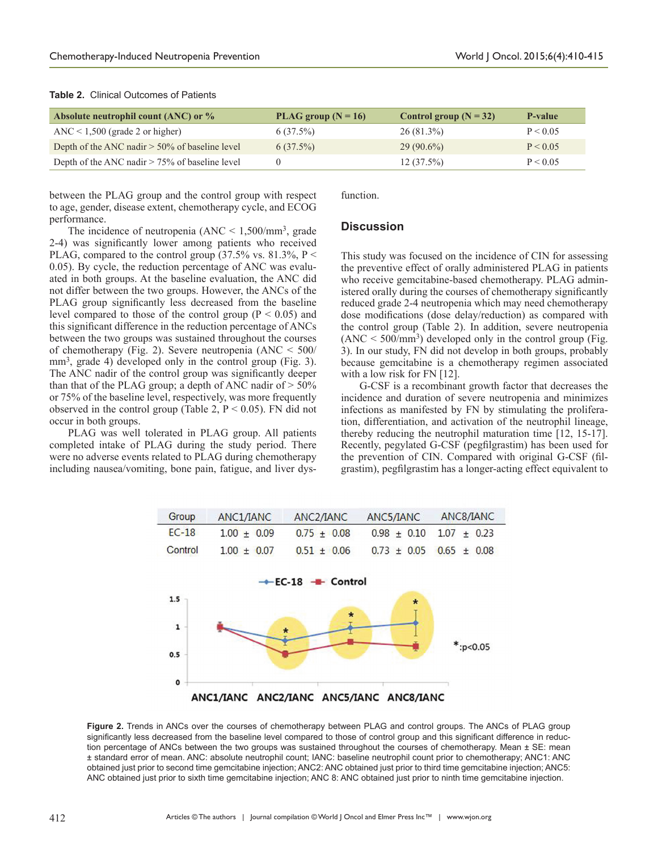|  | <b>Table 2.</b> Clinical Outcomes of Patients |  |
|--|-----------------------------------------------|--|
|  |                                               |  |

| Absolute neutrophil count (ANC) or %              | PLAG group $(N = 16)$ | Control group $(N = 32)$ | P-value  |
|---------------------------------------------------|-----------------------|--------------------------|----------|
| $\text{ANC}$ < 1,500 (grade 2 or higher)          | $6(37.5\%)$           | 26(81.3%)                | P < 0.05 |
| Depth of the ANC nadir $>$ 50% of baseline level  | $6(37.5\%)$           | $29(90.6\%)$             | P < 0.05 |
| Depth of the ANC nadir $> 75\%$ of baseline level |                       | $12(37.5\%)$             | P < 0.05 |

between the PLAG group and the control group with respect to age, gender, disease extent, chemotherapy cycle, and ECOG performance.

function.

#### The incidence of neutropenia  $(ANC < 1,500/mm<sup>3</sup>, grade)$ 2-4) was significantly lower among patients who received PLAG, compared to the control group  $(37.5\% \text{ vs. } 81.3\%, \text{ P}$ 0.05). By cycle, the reduction percentage of ANC was evaluated in both groups. At the baseline evaluation, the ANC did not differ between the two groups. However, the ANCs of the PLAG group significantly less decreased from the baseline level compared to those of the control group ( $P < 0.05$ ) and this significant difference in the reduction percentage of ANCs between the two groups was sustained throughout the courses of chemotherapy (Fig. 2). Severe neutropenia (ANC < 500/ mm<sup>3</sup>, grade 4) developed only in the control group (Fig. 3). The ANC nadir of the control group was significantly deeper than that of the PLAG group; a depth of ANC nadir of  $> 50\%$ or 75% of the baseline level, respectively, was more frequently observed in the control group (Table 2,  $P < 0.05$ ). FN did not occur in both groups.

PLAG was well tolerated in PLAG group. All patients completed intake of PLAG during the study period. There were no adverse events related to PLAG during chemotherapy including nausea/vomiting, bone pain, fatigue, and liver dys-

## **Discussion**

This study was focused on the incidence of CIN for assessing the preventive effect of orally administered PLAG in patients who receive gemcitabine-based chemotherapy. PLAG administered orally during the courses of chemotherapy significantly reduced grade 2-4 neutropenia which may need chemotherapy dose modifications (dose delay/reduction) as compared with the control group (Table 2). In addition, severe neutropenia  $(ANC < 500/mm<sup>3</sup>)$  developed only in the control group (Fig. 3). In our study, FN did not develop in both groups, probably because gemcitabine is a chemotherapy regimen associated with a low risk for FN [12].

G-CSF is a recombinant growth factor that decreases the incidence and duration of severe neutropenia and minimizes infections as manifested by FN by stimulating the proliferation, differentiation, and activation of the neutrophil lineage, thereby reducing the neutrophil maturation time [12, 15-17]. Recently, pegylated G-CSF (pegfilgrastim) has been used for the prevention of CIN. Compared with original G-CSF (filgrastim), pegfilgrastim has a longer-acting effect equivalent to



**Figure 2.** Trends in ANCs over the courses of chemotherapy between PLAG and control groups. The ANCs of PLAG group significantly less decreased from the baseline level compared to those of control group and this significant difference in reduction percentage of ANCs between the two groups was sustained throughout the courses of chemotherapy. Mean ± SE: mean ± standard error of mean. ANC: absolute neutrophil count; IANC: baseline neutrophil count prior to chemotherapy; ANC1: ANC obtained just prior to second time gemcitabine injection; ANC2: ANC obtained just prior to third time gemcitabine injection; ANC5: ANC obtained just prior to sixth time gemcitabine injection; ANC 8: ANC obtained just prior to ninth time gemcitabine injection.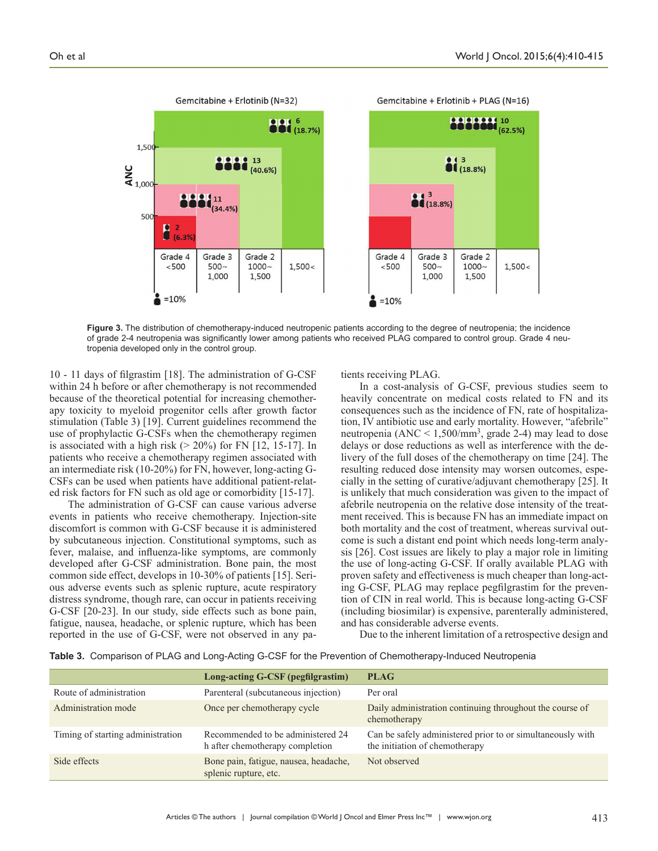

**Figure 3.** The distribution of chemotherapy-induced neutropenic patients according to the degree of neutropenia; the incidence of grade 2-4 neutropenia was significantly lower among patients who received PLAG compared to control group. Grade 4 neutropenia developed only in the control group.

10 - 11 days of filgrastim [18]. The administration of G-CSF within 24 h before or after chemotherapy is not recommended because of the theoretical potential for increasing chemotherapy toxicity to myeloid progenitor cells after growth factor stimulation (Table 3) [19]. Current guidelines recommend the use of prophylactic G-CSFs when the chemotherapy regimen is associated with a high risk ( $> 20\%$ ) for FN [12, 15-17]. In patients who receive a chemotherapy regimen associated with an intermediate risk (10-20%) for FN, however, long-acting G-CSFs can be used when patients have additional patient-related risk factors for FN such as old age or comorbidity [15-17].

The administration of G-CSF can cause various adverse events in patients who receive chemotherapy. Injection-site discomfort is common with G-CSF because it is administered by subcutaneous injection. Constitutional symptoms, such as fever, malaise, and influenza-like symptoms, are commonly developed after G-CSF administration. Bone pain, the most common side effect, develops in 10-30% of patients [15]. Serious adverse events such as splenic rupture, acute respiratory distress syndrome, though rare, can occur in patients receiving G-CSF [20-23]. In our study, side effects such as bone pain, fatigue, nausea, headache, or splenic rupture, which has been reported in the use of G-CSF, were not observed in any patients receiving PLAG.

In a cost-analysis of G-CSF, previous studies seem to heavily concentrate on medical costs related to FN and its consequences such as the incidence of FN, rate of hospitalization, IV antibiotic use and early mortality. However, "afebrile" neutropenia (ANC  $\leq 1,500/\text{mm}^3$ , grade 2-4) may lead to dose delays or dose reductions as well as interference with the delivery of the full doses of the chemotherapy on time [24]. The resulting reduced dose intensity may worsen outcomes, especially in the setting of curative/adjuvant chemotherapy [25]. It is unlikely that much consideration was given to the impact of afebrile neutropenia on the relative dose intensity of the treatment received. This is because FN has an immediate impact on both mortality and the cost of treatment, whereas survival outcome is such a distant end point which needs long-term analysis [26]. Cost issues are likely to play a major role in limiting the use of long-acting G-CSF. If orally available PLAG with proven safety and effectiveness is much cheaper than long-acting G-CSF, PLAG may replace pegfilgrastim for the prevention of CIN in real world. This is because long-acting G-CSF (including biosimilar) is expensive, parenterally administered, and has considerable adverse events.

Due to the inherent limitation of a retrospective design and

**Table 3.** Comparison of PLAG and Long-Acting G-CSF for the Prevention of Chemotherapy-Induced Neutropenia

|                                   | Long-acting G-CSF (pegfilgrastim)                                    | <b>PLAG</b>                                                                                  |
|-----------------------------------|----------------------------------------------------------------------|----------------------------------------------------------------------------------------------|
| Route of administration           | Parenteral (subcutaneous injection)                                  | Per oral                                                                                     |
| Administration mode               | Once per chemotherapy cycle                                          | Daily administration continuing throughout the course of<br>chemotherapy                     |
| Timing of starting administration | Recommended to be administered 24<br>h after chemotherapy completion | Can be safely administered prior to or simultaneously with<br>the initiation of chemotherapy |
| Side effects                      | Bone pain, fatigue, nausea, headache,<br>splenic rupture, etc.       | Not observed                                                                                 |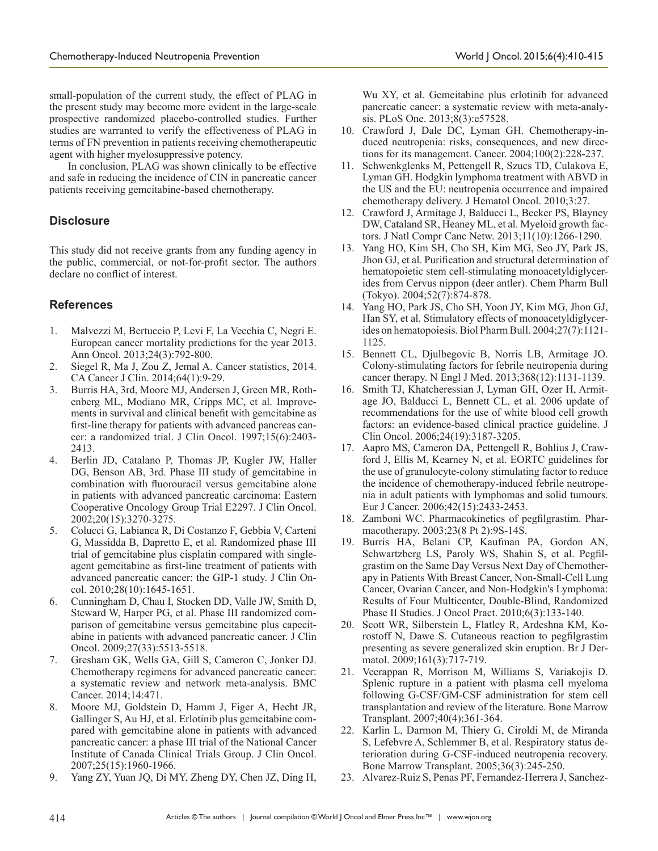small-population of the current study, the effect of PLAG in the present study may become more evident in the large-scale prospective randomized placebo-controlled studies. Further studies are warranted to verify the effectiveness of PLAG in terms of FN prevention in patients receiving chemotherapeutic agent with higher myelosuppressive potency.

In conclusion, PLAG was shown clinically to be effective and safe in reducing the incidence of CIN in pancreatic cancer patients receiving gemcitabine-based chemotherapy.

# **Disclosure**

This study did not receive grants from any funding agency in the public, commercial, or not-for-profit sector. The authors declare no conflict of interest.

# **References**

- 1. Malvezzi M, Bertuccio P, Levi F, La Vecchia C, Negri E. European cancer mortality predictions for the year 2013. Ann Oncol. 2013;24(3):792-800.
- 2. Siegel R, Ma J, Zou Z, Jemal A. Cancer statistics, 2014. CA Cancer J Clin. 2014;64(1):9-29.
- 3. Burris HA, 3rd, Moore MJ, Andersen J, Green MR, Rothenberg ML, Modiano MR, Cripps MC, et al. Improvements in survival and clinical benefit with gemcitabine as first-line therapy for patients with advanced pancreas cancer: a randomized trial. J Clin Oncol. 1997;15(6):2403- 2413.
- 4. Berlin JD, Catalano P, Thomas JP, Kugler JW, Haller DG, Benson AB, 3rd. Phase III study of gemcitabine in combination with fluorouracil versus gemcitabine alone in patients with advanced pancreatic carcinoma: Eastern Cooperative Oncology Group Trial E2297. J Clin Oncol. 2002;20(15):3270-3275.
- 5. Colucci G, Labianca R, Di Costanzo F, Gebbia V, Carteni G, Massidda B, Dapretto E, et al. Randomized phase III trial of gemcitabine plus cisplatin compared with singleagent gemcitabine as first-line treatment of patients with advanced pancreatic cancer: the GIP-1 study. J Clin Oncol. 2010;28(10):1645-1651.
- 6. Cunningham D, Chau I, Stocken DD, Valle JW, Smith D, Steward W, Harper PG, et al. Phase III randomized comparison of gemcitabine versus gemcitabine plus capecitabine in patients with advanced pancreatic cancer. J Clin Oncol. 2009;27(33):5513-5518.
- 7. Gresham GK, Wells GA, Gill S, Cameron C, Jonker DJ. Chemotherapy regimens for advanced pancreatic cancer: a systematic review and network meta-analysis. BMC Cancer. 2014;14:471.
- 8. Moore MJ, Goldstein D, Hamm J, Figer A, Hecht JR, Gallinger S, Au HJ, et al. Erlotinib plus gemcitabine compared with gemcitabine alone in patients with advanced pancreatic cancer: a phase III trial of the National Cancer Institute of Canada Clinical Trials Group. J Clin Oncol. 2007;25(15):1960-1966.
- 9. Yang ZY, Yuan JQ, Di MY, Zheng DY, Chen JZ, Ding H,

Wu XY, et al. Gemcitabine plus erlotinib for advanced pancreatic cancer: a systematic review with meta-analysis. PLoS One. 2013;8(3):e57528.

- 10. Crawford J, Dale DC, Lyman GH. Chemotherapy-induced neutropenia: risks, consequences, and new directions for its management. Cancer. 2004;100(2):228-237.
- 11. Schwenkglenks M, Pettengell R, Szucs TD, Culakova E, Lyman GH. Hodgkin lymphoma treatment with ABVD in the US and the EU: neutropenia occurrence and impaired chemotherapy delivery. J Hematol Oncol. 2010;3:27.
- 12. Crawford J, Armitage J, Balducci L, Becker PS, Blayney DW, Cataland SR, Heaney ML, et al. Myeloid growth factors. J Natl Compr Canc Netw. 2013;11(10):1266-1290.
- 13. Yang HO, Kim SH, Cho SH, Kim MG, Seo JY, Park JS, Jhon GJ, et al. Purification and structural determination of hematopoietic stem cell-stimulating monoacetyldiglycerides from Cervus nippon (deer antler). Chem Pharm Bull (Tokyo). 2004;52(7):874-878.
- 14. Yang HO, Park JS, Cho SH, Yoon JY, Kim MG, Jhon GJ, Han SY, et al. Stimulatory effects of monoacetyldiglycerides on hematopoiesis. Biol Pharm Bull. 2004;27(7):1121- 1125.
- 15. Bennett CL, Djulbegovic B, Norris LB, Armitage JO. Colony-stimulating factors for febrile neutropenia during cancer therapy. N Engl J Med. 2013;368(12):1131-1139.
- 16. Smith TJ, Khatcheressian J, Lyman GH, Ozer H, Armitage JO, Balducci L, Bennett CL, et al. 2006 update of recommendations for the use of white blood cell growth factors: an evidence-based clinical practice guideline. J Clin Oncol. 2006;24(19):3187-3205.
- 17. Aapro MS, Cameron DA, Pettengell R, Bohlius J, Crawford J, Ellis M, Kearney N, et al. EORTC guidelines for the use of granulocyte-colony stimulating factor to reduce the incidence of chemotherapy-induced febrile neutropenia in adult patients with lymphomas and solid tumours. Eur J Cancer. 2006;42(15):2433-2453.
- 18. Zamboni WC. Pharmacokinetics of pegfilgrastim. Pharmacotherapy. 2003;23(8 Pt 2):9S-14S.
- 19. Burris HA, Belani CP, Kaufman PA, Gordon AN, Schwartzberg LS, Paroly WS, Shahin S, et al. Pegfilgrastim on the Same Day Versus Next Day of Chemotherapy in Patients With Breast Cancer, Non-Small-Cell Lung Cancer, Ovarian Cancer, and Non-Hodgkin's Lymphoma: Results of Four Multicenter, Double-Blind, Randomized Phase II Studies. J Oncol Pract. 2010;6(3):133-140.
- 20. Scott WR, Silberstein L, Flatley R, Ardeshna KM, Korostoff N, Dawe S. Cutaneous reaction to pegfilgrastim presenting as severe generalized skin eruption. Br J Dermatol. 2009;161(3):717-719.
- 21. Veerappan R, Morrison M, Williams S, Variakojis D. Splenic rupture in a patient with plasma cell myeloma following G-CSF/GM-CSF administration for stem cell transplantation and review of the literature. Bone Marrow Transplant. 2007;40(4):361-364.
- 22. Karlin L, Darmon M, Thiery G, Ciroldi M, de Miranda S, Lefebvre A, Schlemmer B, et al. Respiratory status deterioration during G-CSF-induced neutropenia recovery. Bone Marrow Transplant. 2005;36(3):245-250.
- 23. Alvarez-Ruiz S, Penas PF, Fernandez-Herrera J, Sanchez-